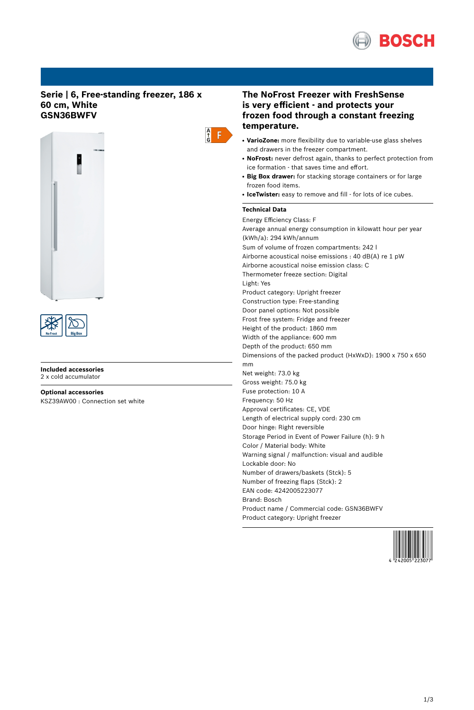

# **Serie | 6, Free-standing freezer, 186 x 60 cm, White GSN36BWFV**





#### **Included accessories** 2 x cold accumulator

**Optional accessories**

KSZ39AW00 : Connection set white

# **The NoFrost Freezer with FreshSense is very efficient - and protects your frozen food through a constant freezing temperature.**

- VarioZone: more flexibility due to variable-use glass shelves and drawers in the freezer compartment.
- NoFrost: never defrost again, thanks to perfect protection from ice formation - that saves time and effort.
- **Big Box drawer:** for stacking storage containers or for large frozen food items.
- IceTwister: easy to remove and fill for lots of ice cubes.

# **Technical Data**

 $\frac{A}{G}$  $F$ 

> Energy Efficiency Class: F Average annual energy consumption in kilowatt hour per year (kWh/a): 294 kWh/annum Sum of volume of frozen compartments: 242 l Airborne acoustical noise emissions : 40 dB(A) re 1 pW Airborne acoustical noise emission class: C Thermometer freeze section: Digital Light: Yes Product category: Upright freezer Construction type: Free-standing Door panel options: Not possible Frost free system: Fridge and freezer Height of the product: 1860 mm Width of the appliance: 600 mm Depth of the product: 650 mm Dimensions of the packed product (HxWxD): 1900 x 750 x 650 mm Net weight: 73.0 kg Gross weight: 75.0 kg Fuse protection: 10 A Frequency: 50 Hz Approval certificates: CE, VDE Length of electrical supply cord: 230 cm Door hinge: Right reversible Storage Period in Event of Power Failure (h): 9 h Color / Material body: White Warning signal / malfunction: visual and audible Lockable door: No Number of drawers/baskets (Stck): 5 Number of freezing flaps (Stck): 2 EAN code: 4242005223077 Brand: Bosch Product name / Commercial code: GSN36BWFV Product category: Upright freezer

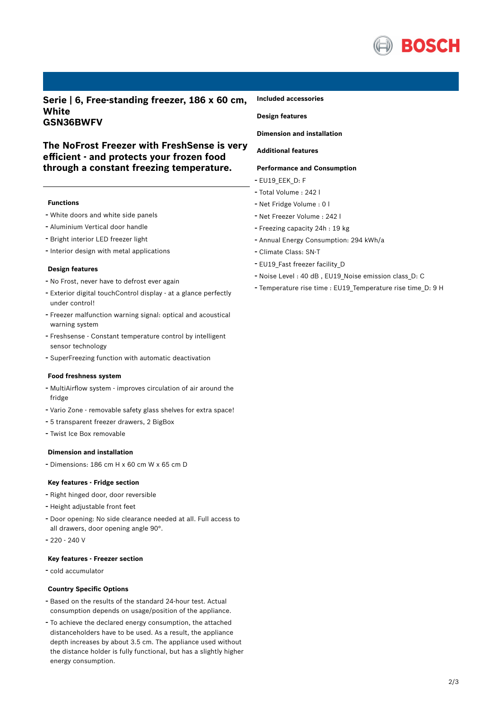

**Serie | 6, Free-standing freezer, 186 x 60 cm, White GSN36BWFV**

# **The NoFrost Freezer with FreshSense is very efficient - and protects your frozen food through a constant freezing temperature.**

## **Functions**

- White doors and white side panels
- Aluminium Vertical door handle
- Bright interior LED freezer light
- Interior design with metal applications

### **Design features**

- No Frost, never have to defrost ever again
- Exterior digital touchControl display at <sup>a</sup> glance perfectly under control!
- Freezer malfunction warning signal: optical and acoustical warning system
- Freshsense Constant temperature control by intelligent sensor technology
- SuperFreezing function with automatic deactivation

### **Food freshness system**

- MultiAirflow system improves circulation of air around the fridge
- Vario Zone removable safety glass shelves for extra space!
- <sup>5</sup> transparent freezer drawers, <sup>2</sup> BigBox
- Twist Ice Box removable

## **Dimension and installation**

- Dimensions: 186 cm H x 60 cm W x 65 cm D

#### **Key features - Fridge section**

- Right hinged door, door reversible
- Height adjustable front feet
- Door opening: No side clearance needed at all. Full access to all drawers, door opening angle 90°.
- 220 240 V

# **Key features - Freezer section**

- cold accumulator

### **Country Specific Options**

- Based on the results of the standard 24-hour test. Actual consumption depends on usage/position of the appliance.
- To achieve the declared energy consumption, the attached distanceholders have to be used. As a result, the appliance depth increases by about 3.5 cm. The appliance used without the distance holder is fully functional, but has a slightly higher energy consumption.

### **Included accessories**

# **Design features**

**Dimension and installation**

# **Additional features**

## **Performance and Consumption**

- EU19\_EEK\_D: F
- Total Volume : <sup>242</sup> <sup>l</sup>
- Net Fridge Volume : <sup>0</sup> <sup>l</sup>
- Net Freezer Volume : <sup>242</sup> <sup>l</sup>
- Freezing capacity 24h : <sup>19</sup> kg
- Annual Energy Consumption: <sup>294</sup> kWh/a
- Climate Class: SN-T
- EU19 Fast freezer facility D
- Noise Level : <sup>40</sup> dB , EU19\_Noise emission class\_D: <sup>C</sup>
- Temperature rise time : EU19\_Temperature rise time\_D: <sup>9</sup> <sup>H</sup>